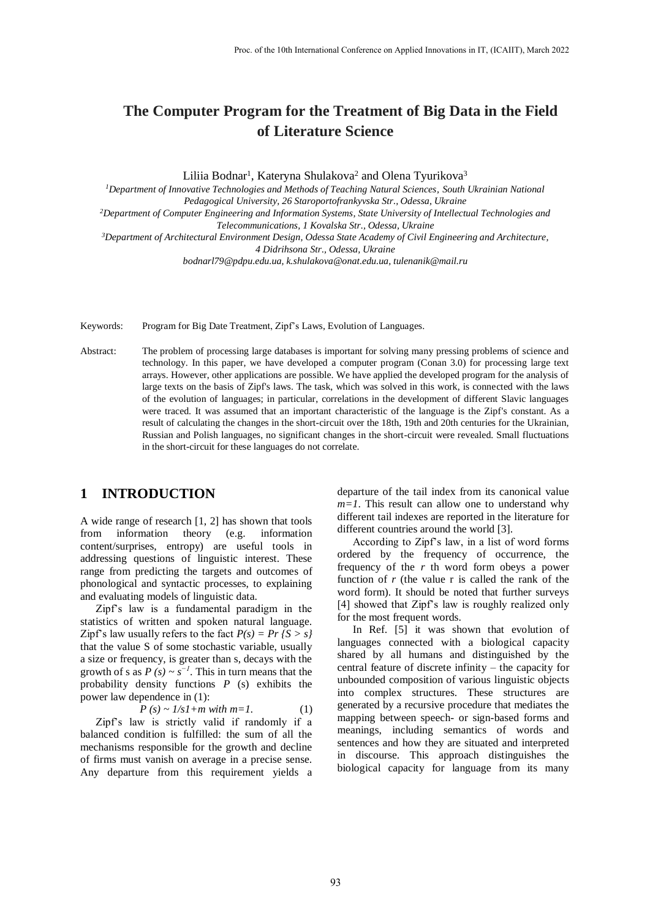# **The Computer Program for the Treatment of Big Data in the Field of Literature Science**

Liliia Bodnar<sup>1</sup>, Kateryna Shulakova<sup>2</sup> and Olena Tyurikova<sup>3</sup>

*<sup>1</sup>Department of Innovative Technologies and Methods of Teaching Natural Sciences, South Ukrainian National Pedagogical University, 26 Staroportofrankyvska Str., Odessa, Ukraine*

*<sup>2</sup>Department of Computer Engineering and Information Systems, State University of Intellectual Technologies and Telecommunications, 1 Kovalska Str., Odessa, Ukraine*

*<sup>3</sup>Department of Architectural Environment Design, Odessa State Academy of Civil Engineering and Architecture,* 

*4 Didrihsona Str., Odessa, Ukraine*

*[bodnarl79@pdpu.edu.u](mailto:bodnarl79@pdpu.edu.)a[, k.shulakova@o](mailto:k.shulakova@gmail.com)nat.edu.ua, tulenanik@mail.ru*

Keywords: Program for Big Date Treatment, Zipf's Laws, Evolution of Languages.

Abstract: The problem of processing large databases is important for solving many pressing problems of science and technology. In this paper, we have developed a computer program (Conan 3.0) for processing large text arrays. However, other applications are possible. We have applied the developed program for the analysis of large texts on the basis of Zipf's laws. The task, which was solved in this work, is connected with the laws of the evolution of languages; in particular, correlations in the development of different Slavic languages were traced. It was assumed that an important characteristic of the language is the Zipf's constant. As a result of calculating the changes in the short-circuit over the 18th, 19th and 20th centuries for the Ukrainian, Russian and Polish languages, no significant changes in the short-circuit were revealed. Small fluctuations in the short-circuit for these languages do not correlate.

### **1 INTRODUCTION**

A wide range of research [1, 2] has shown that tools from information theory (e.g. information content/surprises, entropy) are useful tools in addressing questions of linguistic interest. These range from predicting the targets and outcomes of phonological and syntactic processes, to explaining and evaluating models of linguistic data.

Zipf's law is a fundamental paradigm in the statistics of written and spoken natural language. Zipf's law usually refers to the fact  $P(s) = Pr(S > s)$ that the value S of some stochastic variable, usually a size or frequency, is greater than s, decays with the growth of s as  $P(s) \sim s^{-1}$ . This in turn means that the probability density functions *P* (s) exhibits the power law dependence in (1):

$$
P(s) \sim 1/sI + m \text{ with } m = I. \tag{1}
$$

Zipf's law is strictly valid if randomly if a balanced condition is fulfilled: the sum of all the mechanisms responsible for the growth and decline of firms must vanish on average in a precise sense. Any departure from this requirement yields a departure of the tail index from its canonical value *m=1*. This result can allow one to understand why different tail indexes are reported in the literature for different countries around the world [3].

According to Zipf's law, in a list of word forms ordered by the frequency of occurrence, the frequency of the *r* th word form obeys a power function of *r* (the value r is called the rank of the word form). It should be noted that further surveys [4] showed that Zipf's law is roughly realized only for the most frequent words.

In Ref. [5] it was shown that evolution of languages connected with a biological capacity shared by all humans and distinguished by the central feature of discrete infinity – the capacity for unbounded composition of various linguistic objects into complex structures. These structures are generated by a recursive procedure that mediates the mapping between speech- or sign-based forms and meanings, including semantics of words and sentences and how they are situated and interpreted in discourse. This approach distinguishes the biological capacity for language from its many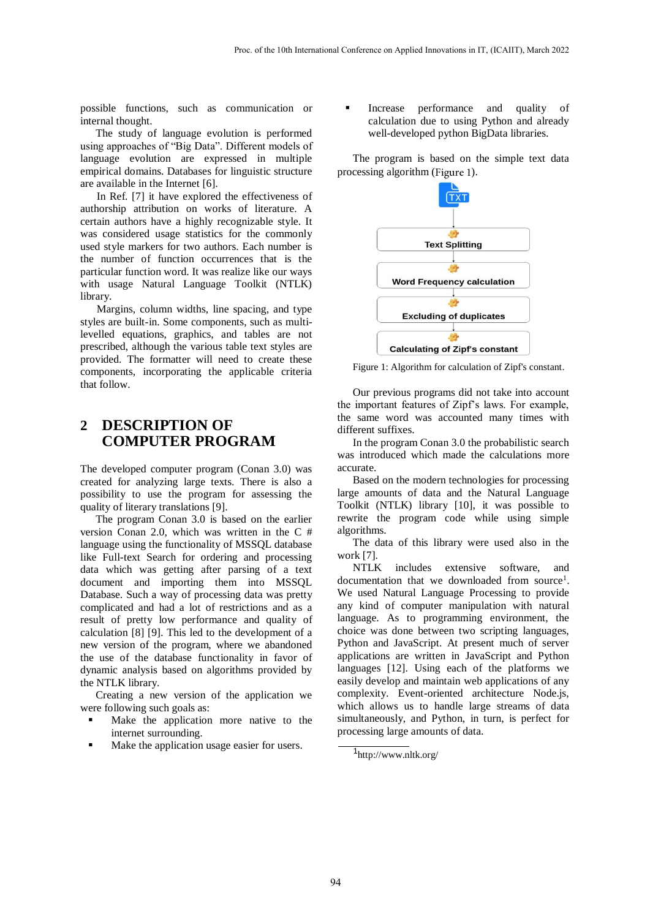possible functions, such as communication or internal thought.

The study of language evolution is performed using approaches of "Big Data". Different models of language evolution are expressed in multiple empirical domains. Databases for linguistic structure are available in the Internet [6].

In Ref. [7] it have explored the effectiveness of authorship attribution on works of literature. A certain authors have a highly recognizable style. It was considered usage statistics for the commonly used style markers for two authors. Each number is the number of function occurrences that is the particular function word. It was realize like our ways with usage Natural Language Toolkit (NTLK) library.

Margins, column widths, line spacing, and type styles are built-in. Some components, such as multilevelled equations, graphics, and tables are not prescribed, although the various table text styles are provided. The formatter will need to create these components, incorporating the applicable criteria that follow.

## **2 DESCRIPTION OF COMPUTER PROGRAM**

The developed computer program (Conan 3.0) was created for analyzing large texts. There is also a possibility to use the program for assessing the quality of literary translations [9].

The program Conan 3.0 is based on the earlier version Conan 2.0, which was written in the C # language using the functionality of MSSQL database like Full-text Search for ordering and processing data which was getting after parsing of a text document and importing them into MSSQL Database. Such a way of processing data was pretty complicated and had a lot of restrictions and as a result of pretty low performance and quality of calculation [8] [9]. This led to the development of a new version of the program, where we abandoned the use of the database functionality in favor of dynamic analysis based on algorithms provided by the NTLK library.

Creating a new version of the application we were following such goals as:

- Make the application more native to the internet surrounding.
- Make the application usage easier for users.

 Increase performance and quality of calculation due to using Python and already well-developed python BigData libraries.

The program is based on the simple text data processing algorithm (Figure 1).



Figure 1: Algorithm for calculation of Zipf's constant.

Our previous programs did not take into account the important features of Zipf's laws. For example, the same word was accounted many times with different suffixes.

In the program Conan 3.0 the probabilistic search was introduced which made the calculations more accurate.

Based on the modern technologies for processing large amounts of data and the Natural Language Toolkit (NTLK) library [10], it was possible to rewrite the program code while using simple algorithms.

The data of this library were used also in the work [7].

NTLK includes extensive software, and documentation that we downloaded from source<sup>1</sup>. We used Natural Language Processing to provide any kind of computer manipulation with natural language. As to programming environment, the choice was done between two scripting languages, Python and JavaScript. At present much of server applications are written in JavaScript and Python languages [12]. Using each of the platforms we easily develop and maintain web applications of any complexity. Event-oriented architecture Node.js, which allows us to handle large streams of data simultaneously, and Python, in turn, is perfect for processing large amounts of data.

<sup>1</sup> <http://www.nltk.org/>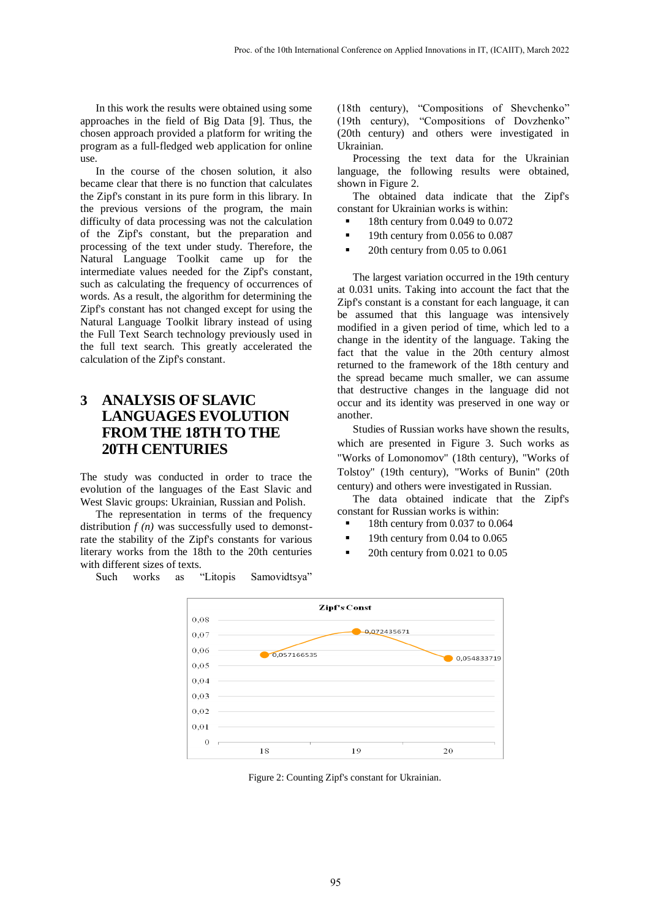In this work the results were obtained using some approaches in the field of Big Data [9]. Thus, the chosen approach provided a platform for writing the program as a full-fledged web application for online use.

In the course of the chosen solution, it also became clear that there is no function that calculates the Zipf's constant in its pure form in this library. In the previous versions of the program, the main difficulty of data processing was not the calculation of the Zipf's constant, but the preparation and processing of the text under study. Therefore, the Natural Language Toolkit came up for the intermediate values needed for the Zipf's constant, such as calculating the frequency of occurrences of words. As a result, the algorithm for determining the Zipf's constant has not changed except for using the Natural Language Toolkit library instead of using the Full Text Search technology previously used in the full text search. This greatly accelerated the calculation of the Zipf's constant.

## **3 ANALYSIS OF SLAVIC LANGUAGES EVOLUTION FROM THE 18TH TO THE 20TH CENTURIES**

The study was conducted in order to trace the evolution of the languages of the East Slavic and West Slavic groups: Ukrainian, Russian and Polish.

The representation in terms of the frequency distribution  $f(n)$  was successfully used to demonstrate the stability of the Zipf's constants for various literary works from the 18th to the 20th centuries with different sizes of texts.

Such works as "Litopis Samovidtsya"

(18th century), "Compositions of Shevchenko" (19th century), "Compositions of Dovzhenko" (20th century) and others were investigated in Ukrainian.

Processing the text data for the Ukrainian language, the following results were obtained, shown in Figure 2.

The obtained data indicate that the Zipf's constant for Ukrainian works is within:

18th century from 0.049 to 0.072

- <sup>1</sup> 19th century from 0.056 to 0.087
- 20th century from 0.05 to 0.061

The largest variation occurred in the 19th century at 0.031 units. Taking into account the fact that the Zipf's constant is a constant for each language, it can be assumed that this language was intensively modified in a given period of time, which led to a change in the identity of the language. Taking the fact that the value in the 20th century almost returned to the framework of the 18th century and the spread became much smaller, we can assume that destructive changes in the language did not occur and its identity was preserved in one way or another.

Studies of Russian works have shown the results, which are presented in Figure 3. Such works as "Works of Lomonomov" (18th century), "Works of Tolstoy" (19th century), "Works of Bunin" (20th century) and others were investigated in Russian.

The data obtained indicate that the Zipf's constant for Russian works is within:

- 18th century from 0.037 to 0.064
- 19th century from 0.04 to 0.065
- 20th century from 0.021 to 0.05



Figure 2: Counting Zipf's constant for Ukrainian.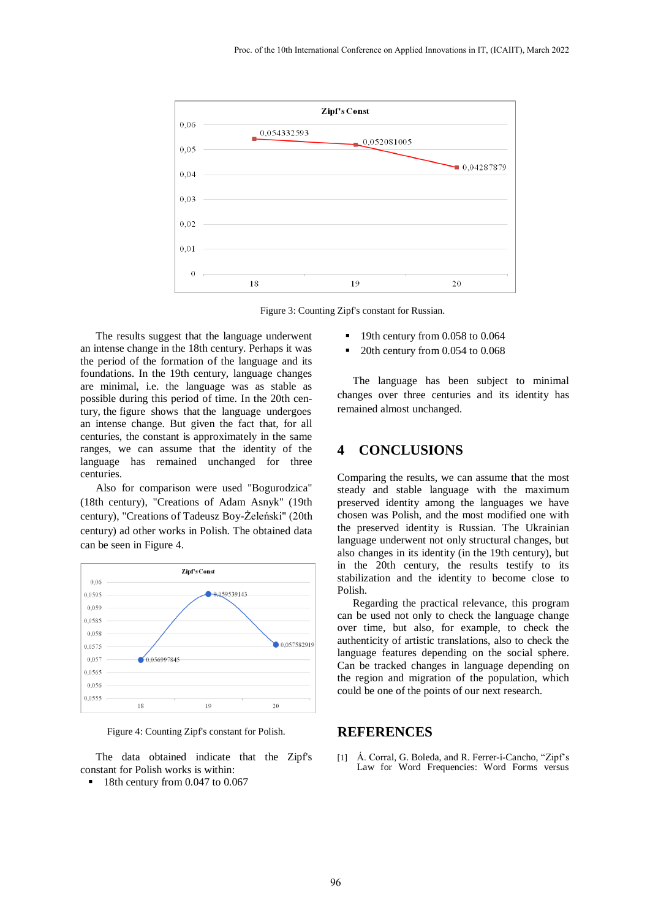

Figure 3: Counting Zipf's constant for Russian.

The results suggest that the language underwent an intense change in the 18th century. Perhaps it was the period of the formation of the language and its foundations. In the 19th century, language changes are minimal, i.e. the language was as stable as possible during this period of time. In the 20th century, the figure shows that the language undergoes an intense change. But given the fact that, for all centuries, the constant is approximately in the same ranges, we can assume that the identity of the language has remained unchanged for three centuries.

Also for comparison were used "Bogurodzica" (18th century), "Creations of Adam Asnyk" (19th century), "Creations of Tadeusz Boy-Żeleński" (20th century) ad other works in Polish. The obtained data can be seen in Figure 4.



Figure 4: Counting Zipf's constant for Polish.

The data obtained indicate that the Zipf's constant for Polish works is within:

18th century from 0.047 to 0.067

- 19th century from 0.058 to 0.064
- 20th century from 0.054 to 0.068

The language has been subject to minimal changes over three centuries and its identity has remained almost unchanged.

#### **4 CONCLUSIONS**

Comparing the results, we can assume that the most steady and stable language with the maximum preserved identity among the languages we have chosen was Polish, and the most modified one with the preserved identity is Russian. The Ukrainian language underwent not only structural changes, but also changes in its identity (in the 19th century), but in the 20th century, the results testify to its stabilization and the identity to become close to Polish.

Regarding the practical relevance, this program can be used not only to check the language change over time, but also, for example, to check the authenticity of artistic translations, also to check the language features depending on the social sphere. Can be tracked changes in language depending on the region and migration of the population, which could be one of the points of our next research.

#### **REFERENCES**

[1] [Á. Corral,](https://www.ncbi.nlm.nih.gov/pubmed/?term=Corral%20%26%23x000c1%3B%5BAuthor%5D&cauthor=true&cauthor_uid=26158787) [G. Boleda,](https://www.ncbi.nlm.nih.gov/pubmed/?term=Boleda%20G%5BAuthor%5D&cauthor=true&cauthor_uid=26158787) an[d R. Ferrer-i-Cancho,](https://www.ncbi.nlm.nih.gov/pubmed/?term=Ferrer-i-Cancho%20R%5BAuthor%5D&cauthor=true&cauthor_uid=26158787) "Zipf's Law for Word Frequencies: Word Forms versus